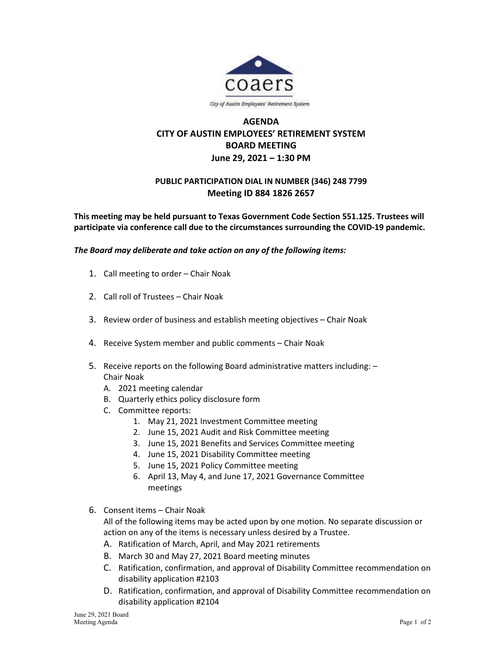

## **AGENDA CITY OF AUSTIN EMPLOYEES' RETIREMENT SYSTEM BOARD MEETING June 29, 2021 – 1:30 PM**

## **PUBLIC PARTICIPATION DIAL IN NUMBER (346) 248 7799 Meeting ID 884 1826 2657**

**This meeting may be held pursuant to Texas Government Code Section 551.125. Trustees will participate via conference call due to the circumstances surrounding the COVID-19 pandemic.**

*The Board may deliberate and take action on any of the following items:*

- 1. Call meeting to order Chair Noak
- 2. Call roll of Trustees Chair Noak
- 3. Review order of business and establish meeting objectives Chair Noak
- 4. Receive System member and public comments Chair Noak
- 5. Receive reports on the following Board administrative matters including: Chair Noak
	- A. 2021 meeting calendar
	- B. Quarterly ethics policy disclosure form
	- C. Committee reports:
		- 1. May 21, 2021 Investment Committee meeting
		- 2. June 15, 2021 Audit and Risk Committee meeting
		- 3. June 15, 2021 Benefits and Services Committee meeting
		- 4. June 15, 2021 Disability Committee meeting
		- 5. June 15, 2021 Policy Committee meeting
		- 6. April 13, May 4, and June 17, 2021 Governance Committee meetings
- 6. Consent items Chair Noak

All of the following items may be acted upon by one motion. No separate discussion or action on any of the items is necessary unless desired by a Trustee.

- A. Ratification of March, April, and May 2021 retirements
- B. March 30 and May 27, 2021 Board meeting minutes
- C. Ratification, confirmation, and approval of Disability Committee recommendation on disability application #2103
- D. Ratification, confirmation, and approval of Disability Committee recommendation on disability application #2104